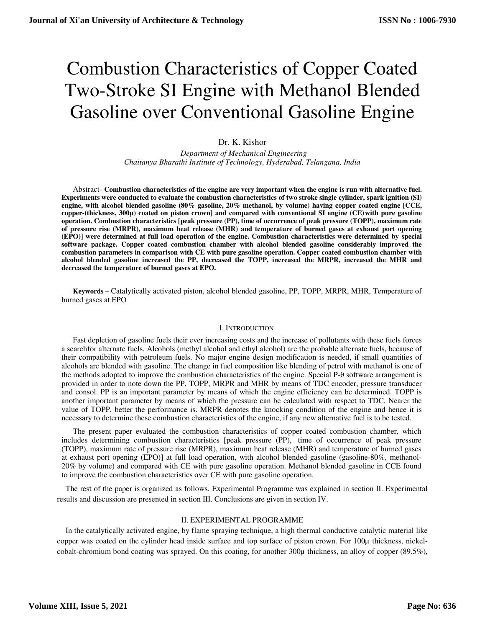# Combustion Characteristics of Copper Coated Two-Stroke SI Engine with Methanol Blended Gasoline over Conventional Gasoline Engine

# Dr. K. Kishor

 *Department of Mechanical Engineering Chaitanya Bharathi Institute of Technology, Hyderabad, Telangana, India* 

Abstract- **Combustion characteristics of the engine are very important when the engine is run with alternative fuel. Experiments were conducted to evaluate the combustion characteristics of two stroke single cylinder, spark ignition (SI) engine, with alcohol blended gasoline (80% gasoline, 20% methanol, by volume) having copper coated engine [CCE, copper-(thickness, 300μ) coated on piston crown] and compared with conventional SI engine (CE) with pure gasoline operation. Combustion characteristics [peak pressure (PP), time of occurrence of peak pressure (TOPP), maximum rate of pressure rise (MRPR), maximum heat release (MHR) and temperature of burned gases at exhaust port opening (EPO)] were determined at full load operation of the engine. Combustion characteristics were determined by special software package. Copper coated combustion chamber with alcohol blended gasoline considerably improved the combustion parameters in comparison with CE with pure gasoline operation. Copper coated combustion chamber with alcohol blended gasoline increased the PP, decreased the TOPP, increased the MRPR, increased the MHR and decreased the temperature of burned gases at EPO.** 

**Keywords –** Catalytically activated piston, alcohol blended gasoline, PP, TOPP, MRPR, MHR, Temperature of burned gases at EPO

#### I. INTRODUCTION

Fast depletion of gasoline fuels their ever increasing costs and the increase of pollutants with these fuels forces a search for alternate fuels. Alcohols (methyl alcohol and ethyl alcohol) are the probable alternate fuels, because of their compatibility with petroleum fuels. No major engine design modification is needed, if small quantities of alcohols are blended with gasoline. The change in fuel composition like blending of petrol with methanol is one of the methods adopted to improve the combustion characteristics of the engine. Special P-θ software arrangement is provided in order to note down the PP, TOPP, MRPR and MHR by means of TDC encoder, pressure transducer and consol. PP is an important parameter by means of which the engine efficiency can be determined. TOPP is another important parameter by means of which the pressure can be calculated with respect to TDC. Nearer the value of TOPP, better the performance is. MRPR denotes the knocking condition of the engine and hence it is necessary to determine these combustion characteristics of the engine, if any new alternative fuel is to be tested.

The present paper evaluated the combustion characteristics of copper coated combustion chamber, which includes determining combustion characteristics [peak pressure (PP), time of occurrence of peak pressure (TOPP), maximum rate of pressure rise (MRPR), maximum heat release (MHR) and temperature of burned gases at exhaust port opening (EPO)] at full load operation, with alcohol blended gasoline (gasoline-80%, methanol-20% by volume) and compared with CE with pure gasoline operation. Methanol blended gasoline in CCE found to improve the combustion characteristics over CE with pure gasoline operation.

The rest of the paper is organized as follows. Experimental Programme was explained in section II. Experimental results and discussion are presented in section III. Conclusions are given in section IV.

## II. EXPERIMENTAL PROGRAMME

In the catalytically activated engine, by flame spraying technique, a high thermal conductive catalytic material like copper was coated on the cylinder head inside surface and top surface of piston crown. For 100µ thickness, nickelcobalt-chromium bond coating was sprayed. On this coating, for another 300µ thickness, an alloy of copper (89.5%),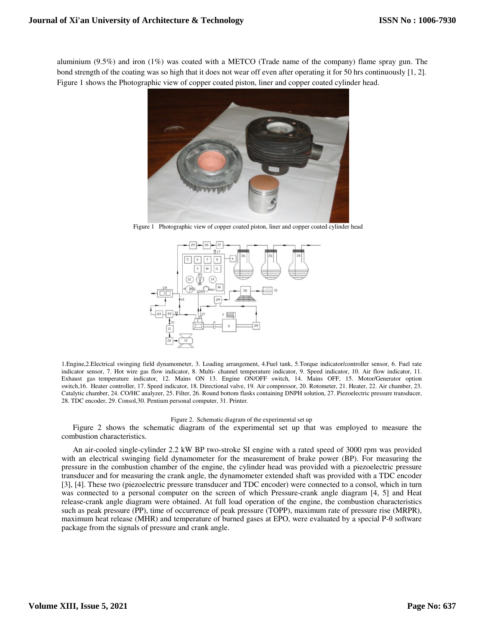aluminium (9.5%) and iron (1%) was coated with a METCO (Trade name of the company) flame spray gun. The bond strength of the coating was so high that it does not wear off even after operating it for 50 hrs continuously [1, 2]. Figure 1 shows the Photographic view of copper coated piston, liner and copper coated cylinder head.



Figure 1 Photographic view of copper coated piston, liner and copper coated cylinder head



1.Engine,2.Electrical swinging field dynamometer, 3. Loading arrangement, 4.Fuel tank, 5.Torque indicator/controller sensor, 6. Fuel rate indicator sensor, 7. Hot wire gas flow indicator, 8. Multi- channel temperature indicator, 9. Speed indicator, 10. Air flow indicator, 11. Exhaust gas temperature indicator, 12. Mains ON 13. Engine ON/OFF switch, 14. Mains OFF, 15. Motor/Generator option switch,16. Heater controller, 17. Speed indicator, 18. Directional valve, 19. Air compressor, 20. Rotometer, 21. Heater, 22. Air chamber, 23. Catalytic chamber, 24. CO/HC analyzer, 25. Filter, 26. Round bottom flasks containing DNPH solution, 27. Piezoelectric pressure transducer, 28. TDC encoder, 29. Consol,30. Pentium personal computer, 31. Printer.

#### Figure 2. Schematic diagram of the experimental set up

Figure 2 shows the schematic diagram of the experimental set up that was employed to measure the combustion characteristics.

An air-cooled single-cylinder 2.2 kW BP two-stroke SI engine with a rated speed of 3000 rpm was provided with an electrical swinging field dynamometer for the measurement of brake power (BP). For measuring the pressure in the combustion chamber of the engine, the cylinder head was provided with a piezoelectric pressure transducer and for measuring the crank angle, the dynamometer extended shaft was provided with a TDC encoder [3], [4]. These two (piezoelectric pressure transducer and TDC encoder) were connected to a consol, which in turn was connected to a personal computer on the screen of which Pressure-crank angle diagram [4, 5] and Heat release-crank angle diagram were obtained. At full load operation of the engine, the combustion characteristics such as peak pressure (PP), time of occurrence of peak pressure (TOPP), maximum rate of pressure rise (MRPR), maximum heat release (MHR) and temperature of burned gases at EPO, were evaluated by a special P-θ software package from the signals of pressure and crank angle.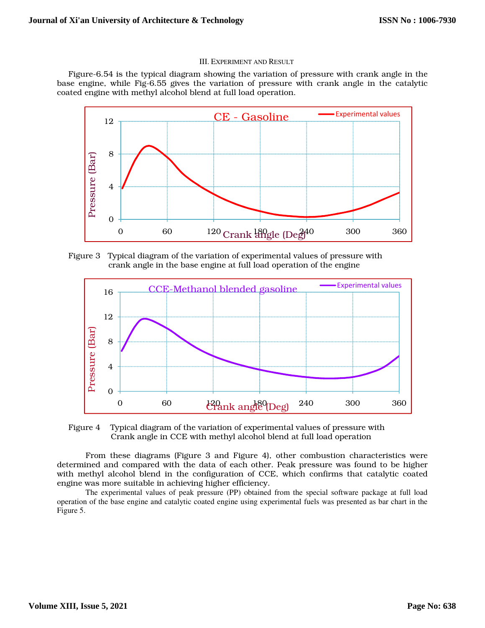# III. EXPERIMENT AND RESULT

Figure-6.54 is the typical diagram showing the variation of pressure with crank angle in the base engine, while Fig-6.55 gives the variation of pressure with crank angle in the catalytic coated engine with methyl alcohol blend at full load operation.



Figure 3 Typical diagram of the variation of experimental values of pressure with crank angle in the base engine at full load operation of the engine



Figure 4 Typical diagram of the variation of experimental values of pressure with Crank angle in CCE with methyl alcohol blend at full load operation

From these diagrams (Figure 3 and Figure 4), other combustion characteristics were determined and compared with the data of each other. Peak pressure was found to be higher with methyl alcohol blend in the configuration of CCE, which confirms that catalytic coated engine was more suitable in achieving higher efficiency.

The experimental values of peak pressure (PP) obtained from the special software package at full load operation of the base engine and catalytic coated engine using experimental fuels was presented as bar chart in the Figure 5.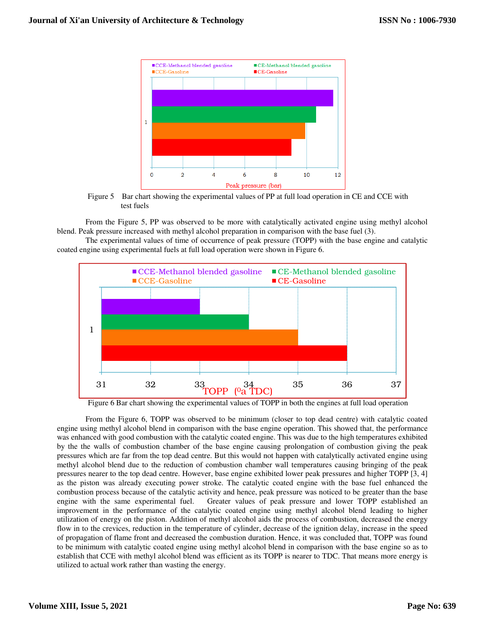

Figure 5 Bar chart showing the experimental values of PP at full load operation in CE and CCE with test fuels

From the Figure 5, PP was observed to be more with catalytically activated engine using methyl alcohol blend. Peak pressure increased with methyl alcohol preparation in comparison with the base fuel (3).

The experimental values of time of occurrence of peak pressure (TOPP) with the base engine and catalytic coated engine using experimental fuels at full load operation were shown in Figure 6.



Figure 6 Bar chart showing the experimental values of TOPP in both the engines at full load operation

From the Figure 6, TOPP was observed to be minimum (closer to top dead centre) with catalytic coated engine using methyl alcohol blend in comparison with the base engine operation. This showed that, the performance was enhanced with good combustion with the catalytic coated engine. This was due to the high temperatures exhibited by the the walls of combustion chamber of the base engine causing prolongation of combustion giving the peak pressures which are far from the top dead centre. But this would not happen with catalytically activated engine using methyl alcohol blend due to the reduction of combustion chamber wall temperatures causing bringing of the peak pressures nearer to the top dead centre. However, base engine exhibited lower peak pressures and higher TOPP [3, 4] as the piston was already executing power stroke. The catalytic coated engine with the base fuel enhanced the combustion process because of the catalytic activity and hence, peak pressure was noticed to be greater than the base engine with the same experimental fuel. Greater values of peak pressure and lower TOPP established an Greater values of peak pressure and lower TOPP established an improvement in the performance of the catalytic coated engine using methyl alcohol blend leading to higher utilization of energy on the piston. Addition of methyl alcohol aids the process of combustion, decreased the energy flow in to the crevices, reduction in the temperature of cylinder, decrease of the ignition delay, increase in the speed of propagation of flame front and decreased the combustion duration. Hence, it was concluded that, TOPP was found to be minimum with catalytic coated engine using methyl alcohol blend in comparison with the base engine so as to establish that CCE with methyl alcohol blend was efficient as its TOPP is nearer to TDC. That means more energy is utilized to actual work rather than wasting the energy.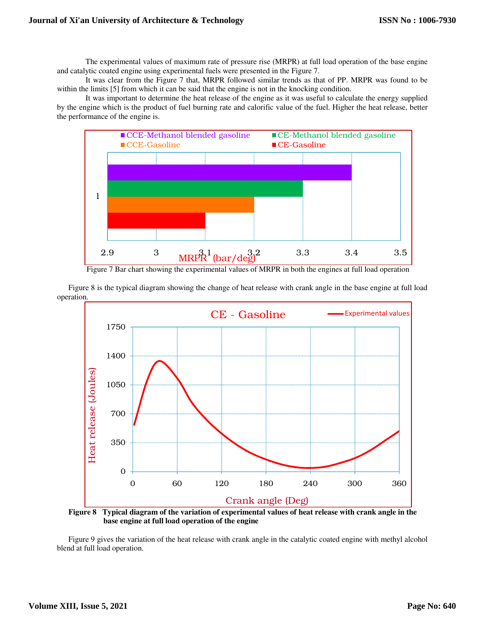The experimental values of maximum rate of pressure rise (MRPR) at full load operation of the base engine and catalytic coated engine using experimental fuels were presented in the Figure 7.

It was clear from the Figure 7 that, MRPR followed similar trends as that of PP. MRPR was found to be within the limits [5] from which it can be said that the engine is not in the knocking condition.

 It was important to determine the heat release of the engine as it was useful to calculate the energy supplied by the engine which is the product of fuel burning rate and calorific value of the fuel. Higher the heat release, better the performance of the engine is.



Figure 7 Bar chart showing the experimental values of MRPR in both the engines at full load operation

Figure 8 is the typical diagram showing the change of heat release with crank angle in the base engine at full load operation.



**Figure 8 Typical diagram of the variation of experimental values of heat release with crank angle in the base engine at full load operation of the engine** 

Figure 9 gives the variation of the heat release with crank angle in the catalytic coated engine with methyl alcohol blend at full load operation.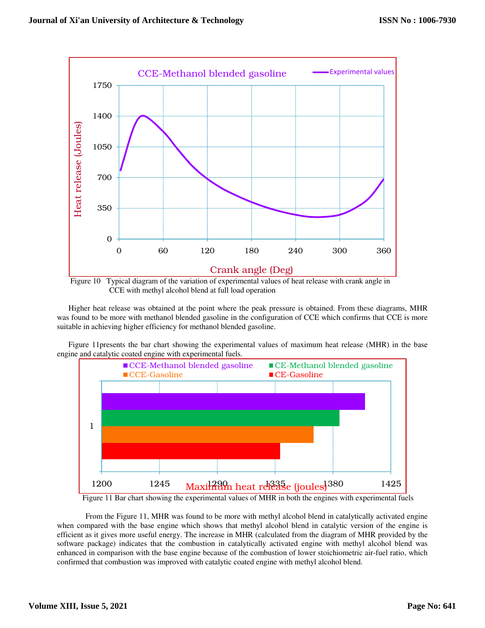

 Figure 10 Typical diagram of the variation of experimental values of heat release with crank angle in CCE with methyl alcohol blend at full load operation

Higher heat release was obtained at the point where the peak pressure is obtained. From these diagrams, MHR was found to be more with methanol blended gasoline in the configuration of CCE which confirms that CCE is more suitable in achieving higher efficiency for methanol blended gasoline.

Figure 11presents the bar chart showing the experimental values of maximum heat release (MHR) in the base engine and catalytic coated engine with experimental fuels.



Figure 11 Bar chart showing the experimental values of MHR in both the engines with experimental fuels

From the Figure 11, MHR was found to be more with methyl alcohol blend in catalytically activated engine when compared with the base engine which shows that methyl alcohol blend in catalytic version of the engine is efficient as it gives more useful energy. The increase in MHR (calculated from the diagram of MHR provided by the software package) indicates that the combustion in catalytically activated engine with methyl alcohol blend was enhanced in comparison with the base engine because of the combustion of lower stoichiometric air-fuel ratio, which confirmed that combustion was improved with catalytic coated engine with methyl alcohol blend.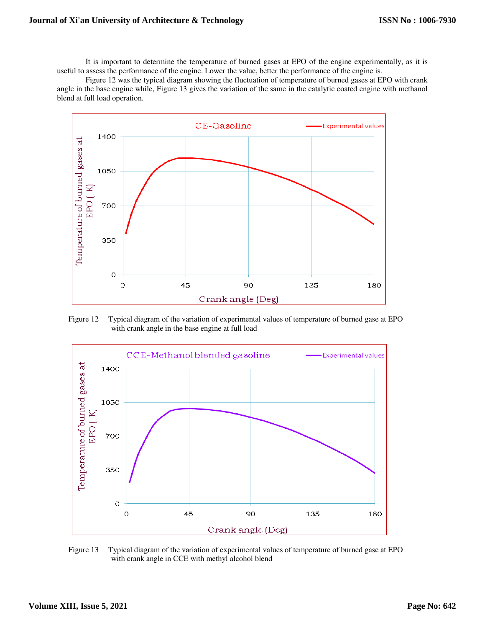It is important to determine the temperature of burned gases at EPO of the engine experimentally, as it is useful to assess the performance of the engine. Lower the value, better the performance of the engine is.

 Figure 12 was the typical diagram showing the fluctuation of temperature of burned gases at EPO with crank angle in the base engine while, Figure 13 gives the variation of the same in the catalytic coated engine with methanol blend at full load operation.



Figure 12 Typical diagram of the variation of experimental values of temperature of burned gase at EPO with crank angle in the base engine at full load



Figure 13 Typical diagram of the variation of experimental values of temperature of burned gase at EPO with crank angle in CCE with methyl alcohol blend